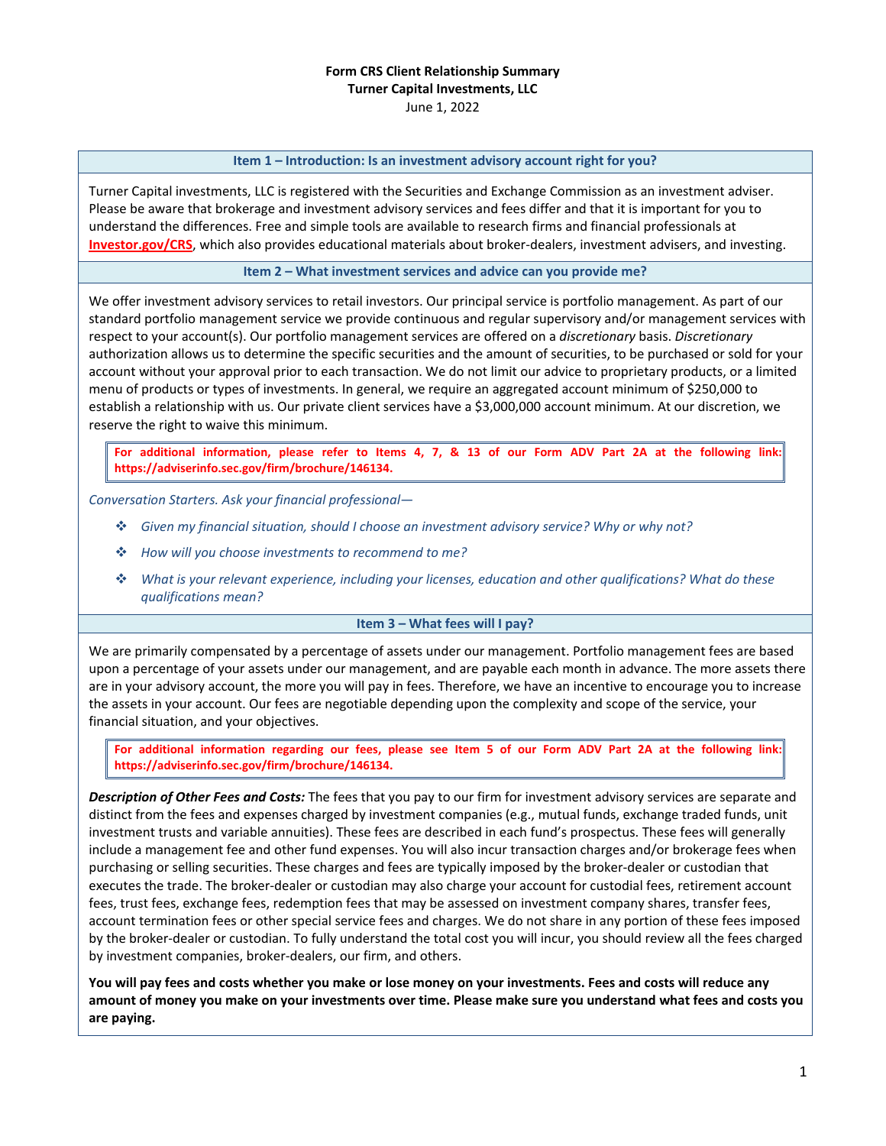## **Form CRS Client Relationship Summary Turner Capital Investments, LLC**

June 1, 2022

#### **Item 1 – Introduction: Is an investment advisory account right for you?**

Turner Capital investments, LLC is registered with the Securities and Exchange Commission as an investment adviser. Please be aware that brokerage and investment advisory services and fees differ and that it is important for you to understand the differences. Free and simple tools are available to research firms and financial professionals at **[Investor.gov/CRS](https://www.investor.gov/CRS)**, which also provides educational materials about broker-dealers, investment advisers, and investing.

#### **Item 2 – What investment services and advice can you provide me?**

We offer investment advisory services to retail investors. Our principal service is portfolio management. As part of our standard portfolio management service we provide continuous and regular supervisory and/or management services with respect to your account(s). Our portfolio management services are offered on a *discretionary* basis. *Discretionary* authorization allows us to determine the specific securities and the amount of securities, to be purchased or sold for your account without your approval prior to each transaction. We do not limit our advice to proprietary products, or a limited menu of products or types of investments. In general, we require an aggregated account minimum of \$250,000 to establish a relationship with us. Our private client services have a \$3,000,000 account minimum. At our discretion, we reserve the right to waive this minimum.

**For additional information, please refer to Items 4, 7, & 13 of our Form ADV Part 2A at the following link: https://adviserinfo.sec.gov/firm/brochure/146134.**

*Conversation Starters. Ask your financial professional—*

- *Given my financial situation, should I choose an investment advisory service? Why or why not?*
- *How will you choose investments to recommend to me?*
- *What is your relevant experience, including your licenses, education and other qualifications? What do these qualifications mean?*

#### **Item 3 – What fees will I pay?**

We are primarily compensated by a percentage of assets under our management. Portfolio management fees are based upon a percentage of your assets under our management, and are payable each month in advance. The more assets there are in your advisory account, the more you will pay in fees. Therefore, we have an incentive to encourage you to increase the assets in your account. Our fees are negotiable depending upon the complexity and scope of the service, your financial situation, and your objectives.

**For additional information regarding our fees, please see Item 5 of our Form ADV Part 2A at the following link: https://adviserinfo.sec.gov/firm/brochure/146134.**

*Description of Other Fees and Costs:* The fees that you pay to our firm for investment advisory services are separate and distinct from the fees and expenses charged by investment companies (e.g., mutual funds, exchange traded funds, unit investment trusts and variable annuities). These fees are described in each fund's prospectus. These fees will generally include a management fee and other fund expenses. You will also incur transaction charges and/or brokerage fees when purchasing or selling securities. These charges and fees are typically imposed by the broker-dealer or custodian that executes the trade. The broker-dealer or custodian may also charge your account for custodial fees, retirement account fees, trust fees, exchange fees, redemption fees that may be assessed on investment company shares, transfer fees, account termination fees or other special service fees and charges. We do not share in any portion of these fees imposed by the broker-dealer or custodian. To fully understand the total cost you will incur, you should review all the fees charged by investment companies, broker-dealers, our firm, and others.

**You will pay fees and costs whether you make or lose money on your investments. Fees and costs will reduce any amount of money you make on your investments over time. Please make sure you understand what fees and costs you are paying.**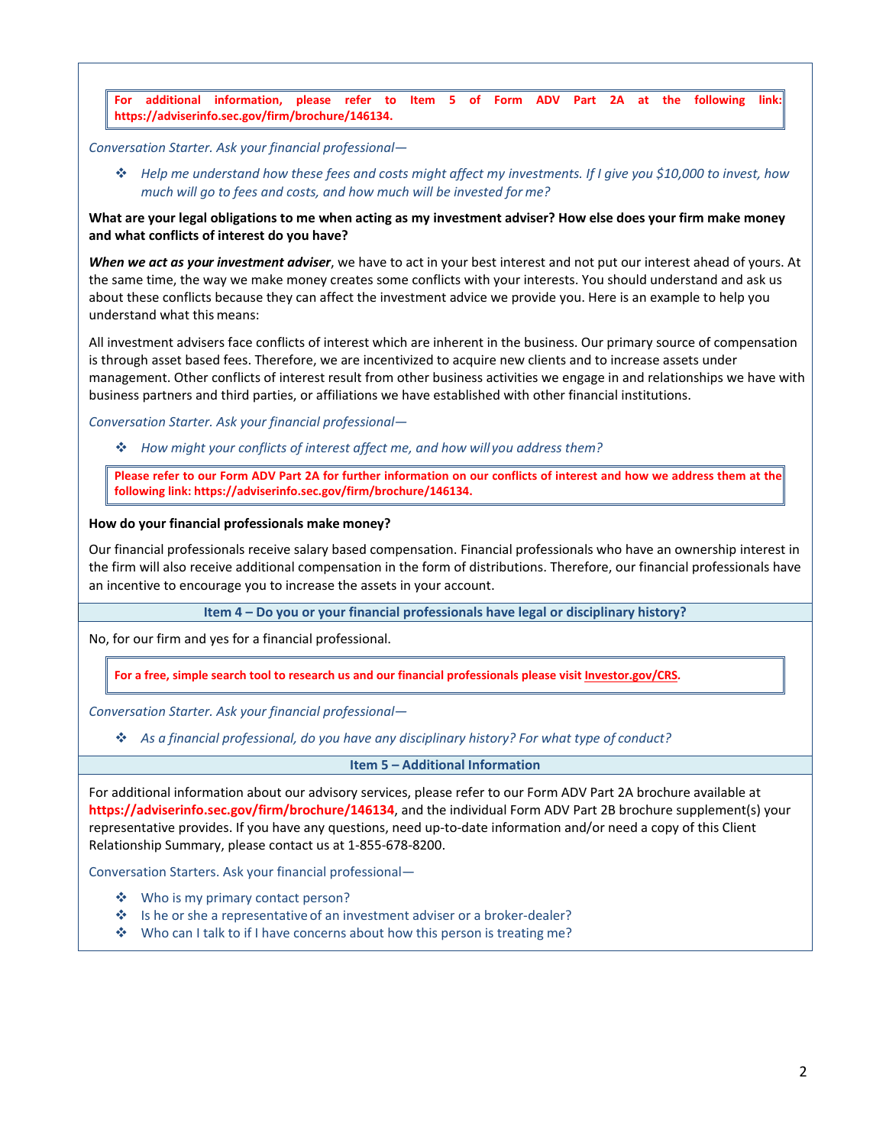**For additional information, please refer to Item 5 of Form ADV Part 2A at the following link: https://adviserinfo.sec.gov/firm/brochure/146134.**

*Conversation Starter. Ask your financial professional—*

 *Help me understand how these fees and costs might affect my investments. If I give you \$10,000 to invest, how much will go to fees and costs, and how much will be invested for me?*

**What are your legal obligations to me when acting as my investment adviser? How else does your firm make money and what conflicts of interest do you have?**

*When we act as your investment adviser*, we have to act in your best interest and not put our interest ahead of yours. At the same time, the way we make money creates some conflicts with your interests. You should understand and ask us about these conflicts because they can affect the investment advice we provide you. Here is an example to help you understand what this means:

All investment advisers face conflicts of interest which are inherent in the business. Our primary source of compensation is through asset based fees. Therefore, we are incentivized to acquire new clients and to increase assets under management. Other conflicts of interest result from other business activities we engage in and relationships we have with business partners and third parties, or affiliations we have established with other financial institutions.

*Conversation Starter. Ask your financial professional—*

*How might your conflicts of interest affect me, and how will you address them?*

**Please refer to our Form ADV Part 2A for further information on our conflicts of interest and how we address them at the following link: https://adviserinfo.sec.gov/firm/brochure/146134.**

## **How do your financial professionals make money?**

Our financial professionals receive salary based compensation. Financial professionals who have an ownership interest in the firm will also receive additional compensation in the form of distributions. Therefore, our financial professionals have an incentive to encourage you to increase the assets in your account.

**Item 4 – Do you or your financial professionals have legal or disciplinary history?**

No, for our firm and yes for a financial professional.

**For a free, simple search tool to research us and our financial professionals please visi[t Investor.gov/CRS](https://www.investor.gov/CRS)***.*

*Conversation Starter. Ask your financial professional—*

*As a financial professional, do you have any disciplinary history? For what type of conduct?*

**Item 5 – Additional Information**

For additional information about our advisory services, please refer to our Form ADV Part 2A brochure available at **https://adviserinfo.sec.gov/firm/brochure/146134**, and the individual Form ADV Part 2B brochure supplement(s) your representative provides. If you have any questions, need up-to-date information and/or need a copy of this Client Relationship Summary, please contact us at 1-855-678-8200.

Conversation Starters. Ask your financial professional—

- Who is my primary contact person?
- Is he or she a representative of an investment adviser or a broker-dealer?
- $\cdot$  Who can I talk to if I have concerns about how this person is treating me?